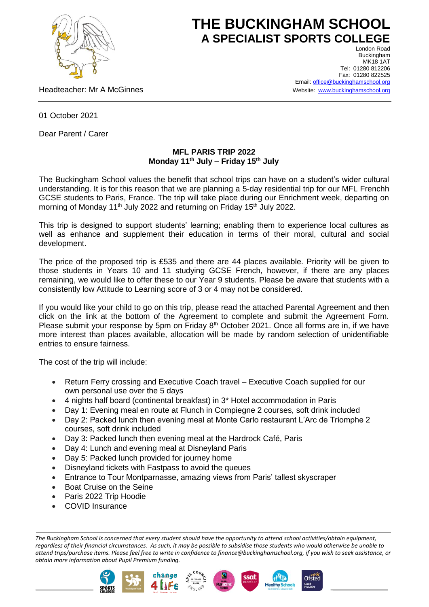

## **THE BUCKINGHAM SCHOOL A SPECIALIST SPORTS COLLEGE**

Headteacher: Mr A McGinnes

London Road Buckingham **MK18 1AT** Tel: 01280 812206 Fax: 01280 822525 Email[: office@buckinghamschool.org](mailto:office@buckinghamschool.org) Website: [www.buckinghamschool.org](http://www.buckinghamschool.org/)

01 October 2021

Dear Parent / Carer

## **MFL PARIS TRIP 2022 Monday 11th July – Friday 15 th July**

The Buckingham School values the benefit that school trips can have on a student's wider cultural understanding. It is for this reason that we are planning a 5-day residential trip for our MFL Frenchh GCSE students to Paris, France. The trip will take place during our Enrichment week, departing on morning of Monday 11<sup>th</sup> July 2022 and returning on Friday 15<sup>th</sup> July 2022.

This trip is designed to support students' learning; enabling them to experience local cultures as well as enhance and supplement their education in terms of their moral, cultural and social development.

The price of the proposed trip is £535 and there are 44 places available. Priority will be given to those students in Years 10 and 11 studying GCSE French, however, if there are any places remaining, we would like to offer these to our Year 9 students. Please be aware that students with a consistently low Attitude to Learning score of 3 or 4 may not be considered.

If you would like your child to go on this trip, please read the attached Parental Agreement and then click on the link at the bottom of the Agreement to complete and submit the Agreement Form. Please submit your response by 5pm on Friday  $8<sup>th</sup>$  October 2021. Once all forms are in, if we have more interest than places available, allocation will be made by random selection of unidentifiable entries to ensure fairness.

The cost of the trip will include:

- Return Ferry crossing and Executive Coach travel Executive Coach supplied for our own personal use over the 5 days
- 4 nights half board (continental breakfast) in 3\* Hotel accommodation in Paris
- Day 1: Evening meal en route at Flunch in Compiegne 2 courses, soft drink included
- Day 2: Packed lunch then evening meal at Monte Carlo restaurant L'Arc de Triomphe 2 courses, soft drink included
- Day 3: Packed lunch then evening meal at the Hardrock Café, Paris
- Day 4: Lunch and evening meal at Disneyland Paris
- Day 5: Packed lunch provided for journey home
- Disneyland tickets with Fastpass to avoid the queues
- Entrance to Tour Montparnasse, amazing views from Paris' tallest skyscraper
- Boat Cruise on the Seine
- Paris 2022 Trip Hoodie
- COVID Insurance

*The Buckingham School is concerned that every student should have the opportunity to attend school activities/obtain equipment, regardless of their financial circumstances. As such, it may be possible to subsidise those students who would otherwise be unable to attend trips/purchase items. Please feel free to write in confidence to finance@buckinghamschool.org, if you wish to seek assistance, or obtain more information about Pupil Premium funding.*